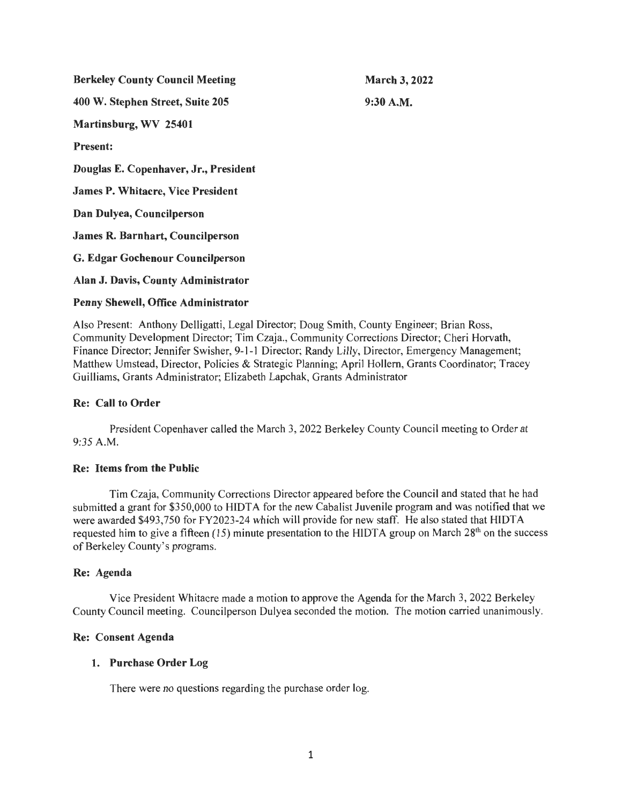| <b>Berkeley County Council Meeting</b>   | <b>March 3, 2022</b> |
|------------------------------------------|----------------------|
| 400 W. Stephen Street, Suite 205         | $9:30$ A.M.          |
| Martinsburg, WV 25401                    |                      |
| <b>Present:</b>                          |                      |
| Douglas E. Copenhaver, Jr., President    |                      |
| <b>James P. Whitacre, Vice President</b> |                      |
| Dan Dulyea, Councilperson                |                      |
| James R. Barnhart, Councilperson         |                      |
| G. Edgar Gochenour Councilperson         |                      |
| Alan J. Davis, County Administrator      |                      |
|                                          |                      |

# Penny Shewell, Office Administrator

Also Present: Anthony Delligatti, Legal Director; Doug Smith, County Engineer; Brian Ross, Community Development Director; Tim Czaja., Community Corrections Director; Cheri Horvath, Finance Director; Jennifer Swisher, 9-1-1 Director; Randy Lilly, Director, Emergency Management; Matthew Umstead, Director, Policies & Strategic Planning; April Hollem, Grants Coordinator; Tracey Guilliams, Grants Administrator; Elizabeth Lapchak, Grants Administrator

# Re: Call to Order

President Copenhaver called the March 3, 2022 Berkeley County Council meeting to Order at 9:35 A.M.

### Re: Items from the Public

Tim Czaja, Community Corrections Director appeared before the Council and stated that he had submitted a grant for \$350,000 to HIDTA for the new Cabalist Juvenile program and was notified that we were awarded \$493,750 for FY2023-24 which will provide for new staff. He also stated that HIDTA requested him to give a fifteen (15) minute presentation to the HIDTA group on March  $28<sup>th</sup>$  on the success of Berkeley County's programs.

# Re: Agenda

Vice President Whitacre made a motion to approve the Agenda for the March 3, 2022 Berkeley County Council meeting. Councilperson Dulyea seconded the motion. The motion carried unanimously.

### Re: Consent Agenda

# 1. Purchase Order Log

There were no questions regarding the purchase order log.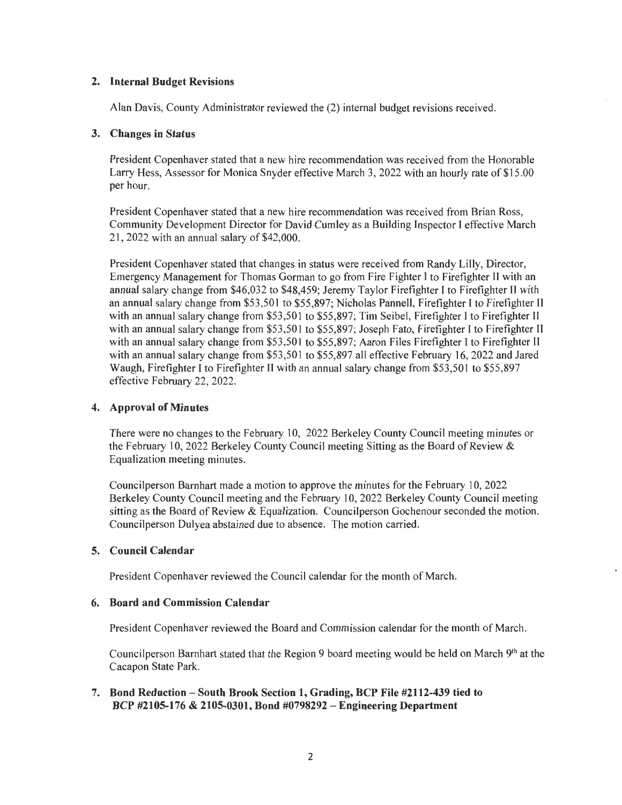# **2. Internal Budget Revisions**

Alan Davis, County Administrator reviewed the (2) internal budget revisions received.

# **3. Changes in Status**

President Copenhaver stated that a new hire recommendation was received from the Honorable Larry Hess, Assessor for Monica Snyder effective March 3, 2022 with an hourly rate of \$15 .00 per hour.

President Copenhaver stated that a new hire recommendation was received from Brian Ross, Community Development Director for David Cumley as a Building Inspector I effective March 21, 2022 with an annual salary of \$42,000.

President Copenhaver stated that changes in status were received from Randy Lilly, Director, Emergency Management for Thomas Gorman to go from Fire Fighter I to Firefighter II with an annual salary change from \$46,032 to \$48,459; Jeremy Taylor Firefighter I to Firefighter II with an annual salary change from \$53,50 I to \$55,897; Nicholas Pannell, Firefighter I to Firefighter II with an annual salary change from \$53,501 to \$55,897; Tim Seibel, Firefighter I to Firefighter II with an annual salary change from \$53,501 to \$55,897; Joseph Fato, Firefighter I to Firefighter II with an annual salary change from \$53,501 to \$55,897; Aaron Files Firefighter I to Firefighter II with an annual salary change from \$53,501 to \$55,897 all effective February 16, 2022 and Jared Waugh, Firefighter I to Firefighter II with an annual salary change from \$53,501 to \$55,897 effective February 22, 2022.

# **4. Approval of Minutes**

There were no changes to the February 10, 2022 Berkeley County Council meeting minutes or the February 10, 2022 Berkeley County Council meeting Sitting as the Board of Review  $\&$ Equalization meeting minutes.

Councilperson Barnhart made a motion to approve the minutes for the February 10, 2022 Berkeley County Council meeting and the February 10, 2022 Berkeley County Council meeting sitting as the Board of Review & Equalization. Councilperson Gochenour seconded the motion. Councilperson Dulyea abstained due to absence. The motion carried.

# **5. Council Calendar**

President Copenhaver reviewed the Council calendar for the month of March.

# **6. Board and Commission Calendar**

President Copenhaver reviewed the Board and Commission calendar for the month of March.

Councilperson Barnhart stated that the Region 9 board meeting would be held on March 9th at the Cacapon State Park.

# **7. Bond Reduction - South Brook Section 1, Grading, BCP File #2112-439 tied to BCP #2105-176 & 2105-0301, Bond #0798292 - Engineering Department**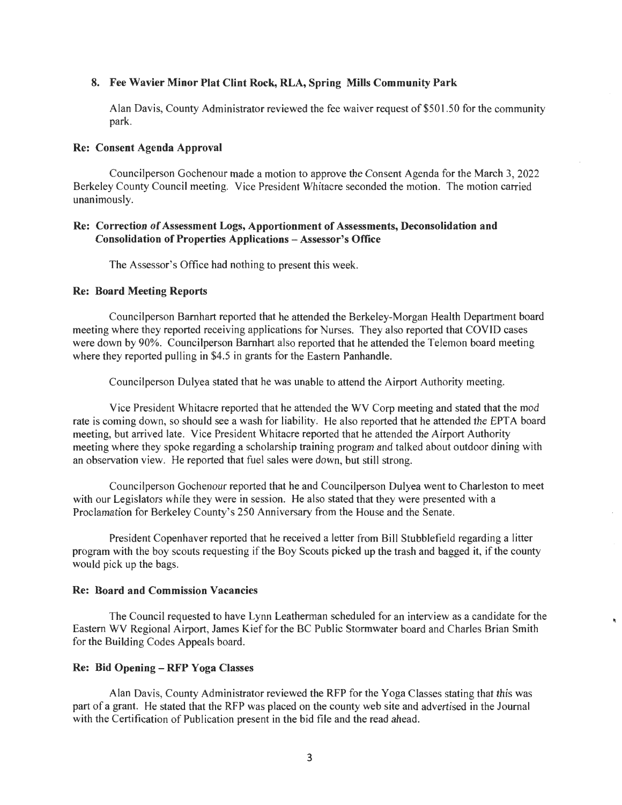#### 8. Fee Wavier Minor Plat Clint Rock, RLA, Spring Mills Community Park

Alan Davis, County Administrator reviewed the fee waiver request of \$501.50 for the community park.

#### Re: Consent Agenda Approval

Councilperson Gochenour made a motion to approve the Consent Agenda for the March 3, 2022 Berkeley County Council meeting. Vice President Whitacre seconded the motion. The motion carried unanimously.

### Re: Correction of Assessment Logs, Apportionment of Assessments, Deconsolidation and Consolidation of Properties Applications - Assessor's Office

The Assessor's Office had nothing to present this week.

### Re: Board Meeting Reports

Councilperson Barnhart reported that he attended the Berkeley-Morgan Health Department board meeting where they reported receiving applications for Nurses. They also reported that COVID cases were down by 90%. Councilperson Barnhart also reported that he attended the Telemon board meeting where they reported pulling in \$4.5 in grants for the Eastern Panhandle.

Councilperson Dulyea stated that he was unable to attend the Airport Authority meeting.

Vice President Whitacre reported that he attended the WV Corp meeting and stated that the mod rate is coming down, so should see a wash for liability. He also reported that he attended the EPTA board meeting, but arrived late. Vice President Whitacre reported that he attended the Airport Authority meeting where they spoke regarding a scholarship training program and talked about outdoor dining with an observation view. He reported that fuel sales were down, but still strong.

Councilperson Gochenour reported that he and Councilperson Dulyea went to Charleston to meet with our Legislators while they were in session. He also stated that they were presented with a Proclamation for Berkeley County's 250 Anniversary from the House and the Senate.

President Copenhaver reported that he received a letter from Bill Stubblefield regarding a litter program with the boy scouts requesting if the Boy Scouts picked up the trash and bagged it, if the county would pick up the bags.

#### Re: Board and Commission Vacancies

The Council requested to have Lynn Leatherman scheduled for an interview as a candidate for the Eastern WV Regional Airport, James Kief for the BC Public Storrnwater board and Charles Brian Smith for the Building Codes Appeals board.

#### Re: Bid Opening - RFP Yoga Classes

Alan Davis, County Administrator reviewed the RFP for the Yoga Classes stating that this was part of a grant. He stated that the RFP was placed on the county web site and advertised in the Journal with the Certification of Publication present in the bid file and the read ahead.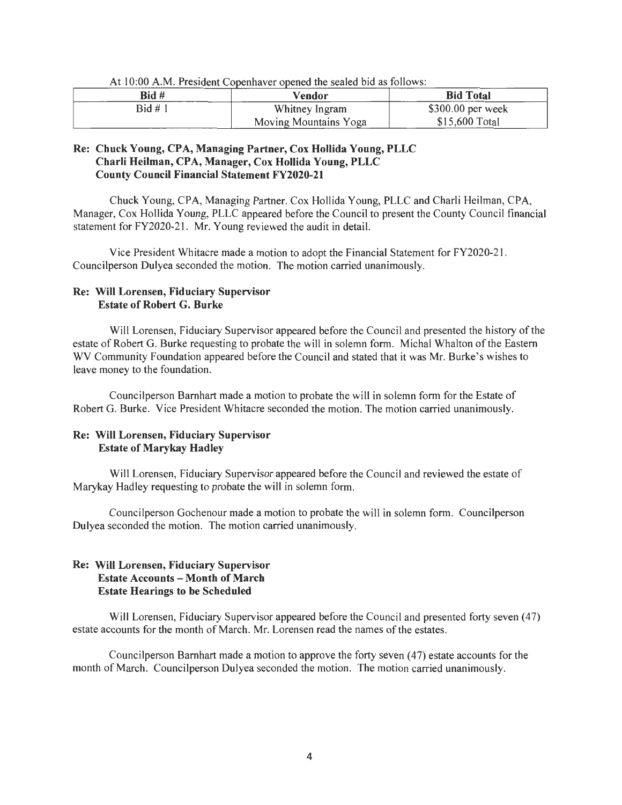| Bid #   | Vendor                | <b>Bid Total</b>  |
|---------|-----------------------|-------------------|
| Bid # 1 | Whitney Ingram        | \$300.00 per week |
|         | Moving Mountains Yoga | \$15,600 Total    |

At  $10:00$  A.M. President Copenhaver opened the sealed bid as follows:

### Re: Chuck Young, CPA, Managing Partner, Cox Hollida Young, PLLC Charli Heilman, CPA, Manager, Cox Hollida Young, PLLC County Council Financial Statement FY2020-21

Chuck Young, CPA, Managing Partner. Cox Hollida Young, PLLC and Charli Heilman, CPA, Manager, Cox Hollida Young, PLLC appeared before the Council to present the County Council financial statement for FY2020-21. Mr. Young reviewed the audit in detail.

Vice President Whitacre made a motion to adopt the Financial Statement for FY2020-2 l . Councilperson Dulyea seconded the motion. The motion carried unanimously.

# Re: Will Lorensen, Fiduciary Supervisor Estate of Robert G. Burke

Will Lorensen, Fiduciary Supervisor appeared before the Council and presented the history of the estate of Robert G. Burke requesting to probate the will in solemn form. Michal Whalton of the Eastern WV Community Foundation appeared before the Council and stated that it was Mr. Burke's wishes to leave money to the foundation.

Councilperson Barnhart made a motion to probate the will in solemn form for the Estate of Robert G. Burke. Vice President Whitacre seconded the motion. The motion carried unanimously.

# Re: Will Lorensen, Fiduciary Supervisor Estate of Marykay Hadley

Will Lorensen, Fiduciary Supervisor appeared before the Council and reviewed the estate of Marykay Hadley requesting to probate the will in solemn form.

Councilperson Gochenour made a motion to probate the will in solemn form. Councilperson Dulyea seconded the motion. The motion carried unanimously.

# Re: Will Lorensen, Fiduciary Supervisor Estate Accounts - Month of March Estate Hearings to be Scheduled

Will Lorensen, Fiduciary Supervisor appeared before the Council and presented forty seven (47) estate accounts for the month of March. Mr. Lorensen read the names of the estates.

Councilperson Barnhart made a motion to approve the forty seven (47) estate accounts for the month of March. Councilperson Dulyea seconded the motion. The motion carried unanimously.